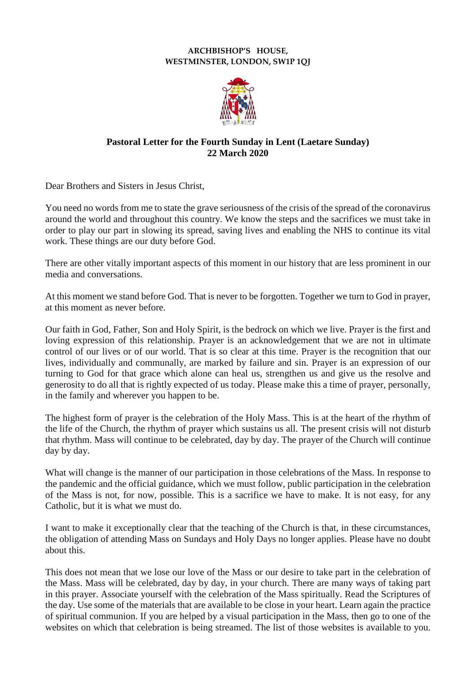## **ARCHBISHOP'S HOUSE, WESTMINSTER, LONDON, SW1P 1QJ**



## **Pastoral Letter for the Fourth Sunday in Lent (Laetare Sunday) 22 March 2020**

Dear Brothers and Sisters in Jesus Christ,

You need no words from me to state the grave seriousness of the crisis of the spread of the coronavirus around the world and throughout this country. We know the steps and the sacrifices we must take in order to play our part in slowing its spread, saving lives and enabling the NHS to continue its vital work. These things are our duty before God.

There are other vitally important aspects of this moment in our history that are less prominent in our media and conversations.

At this moment we stand before God. That is never to be forgotten. Together we turn to God in prayer, at this moment as never before.

Our faith in God, Father, Son and Holy Spirit, is the bedrock on which we live. Prayer is the first and loving expression of this relationship. Prayer is an acknowledgement that we are not in ultimate control of our lives or of our world. That is so clear at this time. Prayer is the recognition that our lives, individually and communally, are marked by failure and sin. Prayer is an expression of our turning to God for that grace which alone can heal us, strengthen us and give us the resolve and generosity to do all that is rightly expected of us today. Please make this a time of prayer, personally, in the family and wherever you happen to be.

The highest form of prayer is the celebration of the Holy Mass. This is at the heart of the rhythm of the life of the Church, the rhythm of prayer which sustains us all. The present crisis will not disturb that rhythm. Mass will continue to be celebrated, day by day. The prayer of the Church will continue day by day.

What will change is the manner of our participation in those celebrations of the Mass. In response to the pandemic and the official guidance, which we must follow, public participation in the celebration of the Mass is not, for now, possible. This is a sacrifice we have to make. It is not easy, for any Catholic, but it is what we must do.

I want to make it exceptionally clear that the teaching of the Church is that, in these circumstances, the obligation of attending Mass on Sundays and Holy Days no longer applies. Please have no doubt about this.

This does not mean that we lose our love of the Mass or our desire to take part in the celebration of the Mass. Mass will be celebrated, day by day, in your church. There are many ways of taking part in this prayer. Associate yourself with the celebration of the Mass spiritually. Read the Scriptures of the day. Use some of the materials that are available to be close in your heart. Learn again the practice of spiritual communion. If you are helped by a visual participation in the Mass, then go to one of the websites on which that celebration is being streamed. The list of those websites is available to you.